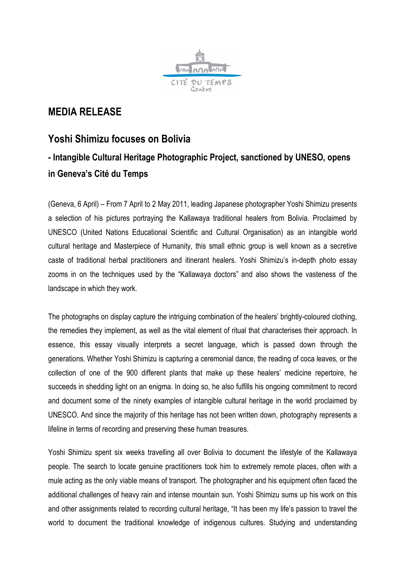

## **MEDIA RELEASE**

## **Yoshi Shimizu focuses on Bolivia - Intangible Cultural Heritage Photographic Project, sanctioned by UNESO, opens in Geneva's Cité du Temps**

(Geneva, 6 April) – From 7 April to 2 May 2011, leading Japanese photographer Yoshi Shimizu presents a selection of his pictures portraying the Kallawaya traditional healers from Bolivia. Proclaimed by UNESCO (United Nations Educational Scientific and Cultural Organisation) as an intangible world cultural heritage and Masterpiece of Humanity, this small ethnic group is well known as a secretive caste of traditional herbal practitioners and itinerant healers. Yoshi Shimizu's in-depth photo essay zooms in on the techniques used by the "Kallawaya doctors" and also shows the vasteness of the landscape in which they work.

The photographs on display capture the intriguing combination of the healers' brightly-coloured clothing, the remedies they implement, as well as the vital element of ritual that characterises their approach. In essence, this essay visually interprets a secret language, which is passed down through the generations. Whether Yoshi Shimizu is capturing a ceremonial dance, the reading of coca leaves, or the collection of one of the 900 different plants that make up these healers' medicine repertoire, he succeeds in shedding light on an enigma. In doing so, he also fulfills his ongoing commitment to record and document some of the ninety examples of intangible cultural heritage in the world proclaimed by UNESCO. And since the majority of this heritage has not been written down, photography represents a lifeline in terms of recording and preserving these human treasures.

Yoshi Shimizu spent six weeks travelling all over Bolivia to document the lifestyle of the Kallawaya people. The search to locate genuine practitioners took him to extremely remote places, often with a mule acting as the only viable means of transport. The photographer and his equipment often faced the additional challenges of heavy rain and intense mountain sun. Yoshi Shimizu sums up his work on this and other assignments related to recording cultural heritage, "It has been my life's passion to travel the world to document the traditional knowledge of indigenous cultures. Studying and understanding